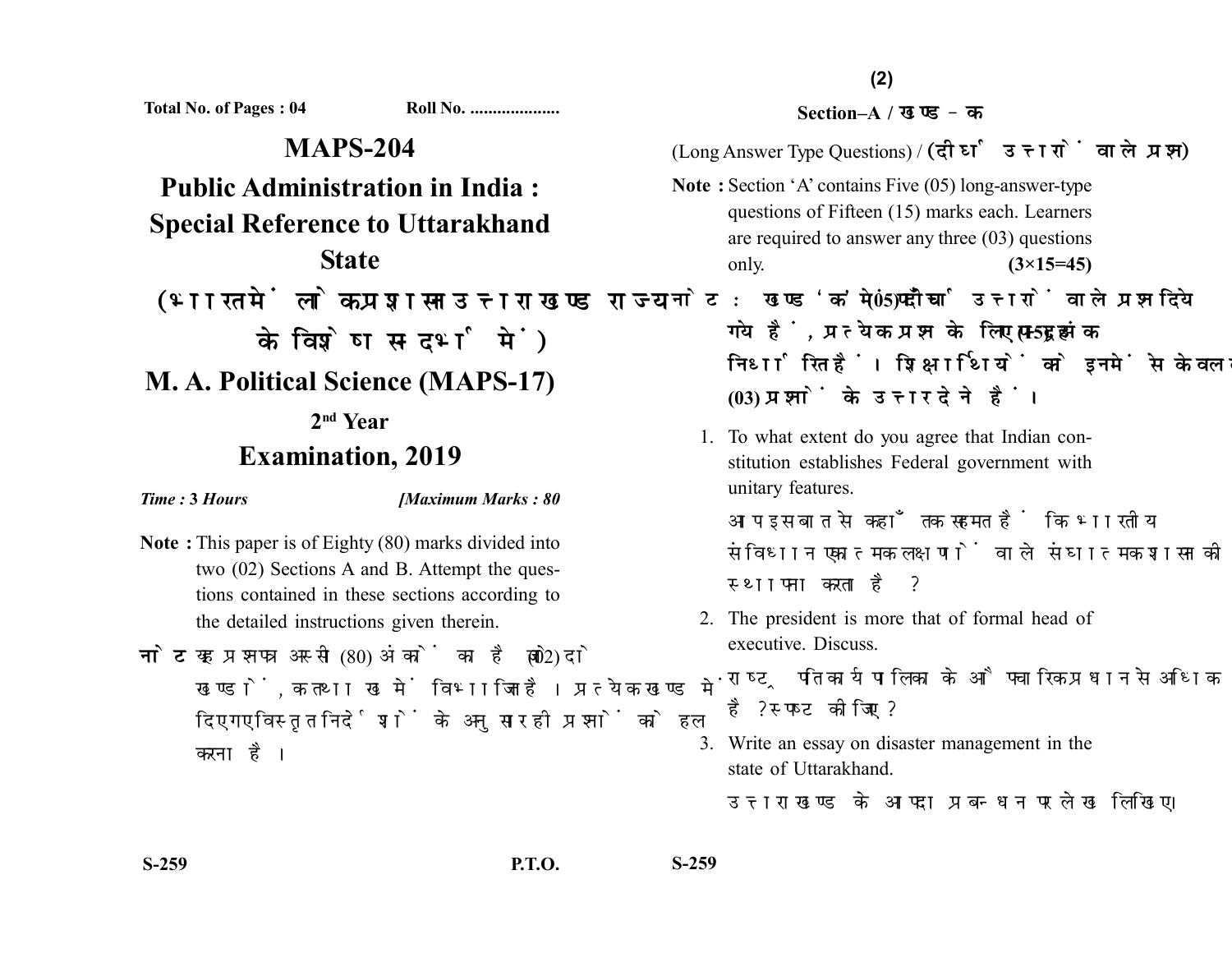**Total No. of Pages : 04 Roll No. ....................**

**MAPS-204 Public Administration in India : Special Reference to Uttarakhand State** (भारत में लोक प्रशासन उत्तराखण्ड राज्य के विशेष सन्दर्भ में) **M. A. Political Science (MAPS-17) 2nd Year Examination, 2019**

*Time :* **3** *Hours [Maximum Marks : 80*

- **Note :** This paper is of Eighty (80) marks divided into two (02) Sections A and B. Attempt the questions contained in these sections according to the detailed instructions given therein.
- नोट: यह प्रश्नपत्र अस्सी (80) अंकों का है जो दो (02) खण्डों. क तथा ख में विभाजित है। प्रत्येक खण्ड में दिए गए विस्तत निर्देशों के अनसार ही प्रश्नों को हल करना है।

## **Section–A /**

(Long Answer Type Questions) / (दीर्घ उत्तरों वाले प्रश्न)

- **Note :** Section 'A' contains Five (05) long-answer-type questions of Fifteen (15) marks each. Learners are required to answer any three (03) questions only. **(3×15=45)**
- नोट: खण्ड 'क' में पाँच (05) दीर्घ उत्तरों वाले प्रश्न दिये गये हैं, प्रत्येक प्रश्न के लिए पन्दह (15) अंक निर्धारित हैं। शिक्षार्थियों को इनमें से केवल तीन **(03)** 
	- 1. To what extent do you agree that Indian constitution establishes Federal government with unitary features.

आप इस बात से कहाँ तक सहमत हैं कि भारतीय संविधान एकात्मक लक्षणों वाले संघात्मक शासन की स्थापना करता है ?

2. The president is more that of formal head of executive. Discuss.

राष्ट्रपति कार्यपालिका के औपचारिक प्रधान से अधिक है? स्पष्ट कीजिए ?

3. Write an essay on disaster management in the state of Uttarakhand.

उत्तराखण्ड के आपदा प्रबन्धन पर लेख लिखिए।

**S-259 P.T.O. S-259**